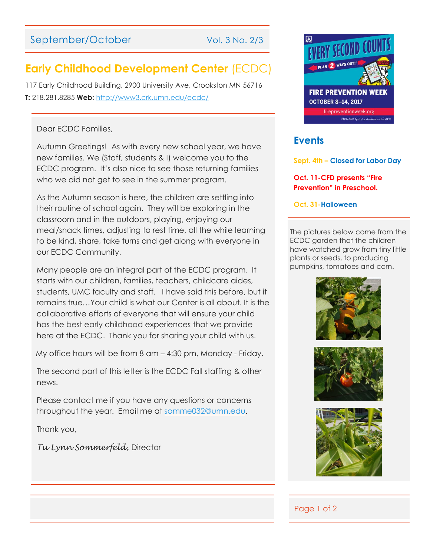# September/October Vol. 3 No. 2/3

# **Early Childhood Development Center** (ECDC)

117 Early Childhood Building, 2900 University Ave, Crookston MN 56716 **T:** 218.281.8285 **Web:** <http://www3.crk.umn.edu/ecdc/>

### Dear ECDC Families,

Autumn Greetings! As with every new school year, we have new families. We (Staff, students & I) welcome you to the ECDC program. It's also nice to see those returning families who we did not get to see in the summer program.

As the Autumn season is here, the children are settling into their routine of school again. They will be exploring in the classroom and in the outdoors, playing, enjoying our meal/snack times, adjusting to rest time, all the while learning to be kind, share, take turns and get along with everyone in our ECDC Community.

Many people are an integral part of the ECDC program. It starts with our children, families, teachers, childcare aides, students, UMC faculty and staff. I have said this before, but it remains true…Your child is what our Center is all about. It is the collaborative efforts of everyone that will ensure your child has the best early childhood experiences that we provide here at the ECDC. Thank you for sharing your child with us.

My office hours will be from 8 am – 4:30 pm, Monday - Friday.

The second part of this letter is the ECDC Fall staffing & other news.

Please contact me if you have any questions or concerns throughout the year. Email me at [somme032@umn.edu.](mailto:somme032@umn.edu)

Thank you,

*Tu Lynn Sommerfeld,* Director



## **Events**

**Sept. 4th – Closed for Labor Day**

**Oct. 11-CFD presents "Fire Prevention" in Preschool.**

**Oct. 31-Halloween**

The pictures below come from the ECDC garden that the children have watched grow from tiny little plants or seeds, to producing pumpkins, tomatoes and corn.







### Page 1 of 2